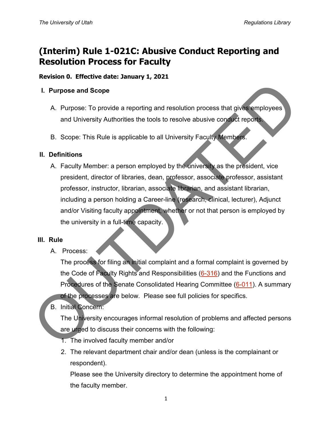# **(Interim) Rule 1-021C: Abusive Conduct Reporting and Resolution Process for Faculty**

#### **Revision 0. Effective date: January 1, 2021**

#### **I. Purpose and Scope**

- A. Purpose: To provide a reporting and resolution process that gives employees and University Authorities the tools to resolve abusive conduct reports.
- B. Scope: This Rule is applicable to all University Faculty Members.

#### **II. Definitions**

A. Faculty Member: a person employed by the university as the president, vice president, director of libraries, dean, professor, associate professor, assistant professor, instructor, librarian, associate librarian, and assistant librarian, including a person holding a Career-line (research, clinical, lecturer), Adjunct and/or Visiting faculty appointment, whether or not that person is employed by the university in a full-time capacity. 1. Purpose and Scope<br>
A. Purpose: To provide a reporting and resolution process that gives employees<br>
and University Authorities the tools to resolve abusive consider report<br>
B. Scope: This Rule is applicable to all Univer

#### **III. Rule**

A. Process:

The process for filing an initial complaint and a formal complaint is governed by the Code of Faculty Rights and Responsibilities (6-316) and the Functions and Procedures of the Senate Consolidated Hearing Committee (6-011). A summary of the processes are below. Please see full policies for specifics.

## B. Initial Concern:

The University encourages informal resolution of problems and affected persons are urged to discuss their concerns with the following:

- 1. The involved faculty member and/or
- 2. The relevant department chair and/or dean (unless is the complainant or respondent).

Please see the University directory to determine the appointment home of the faculty member.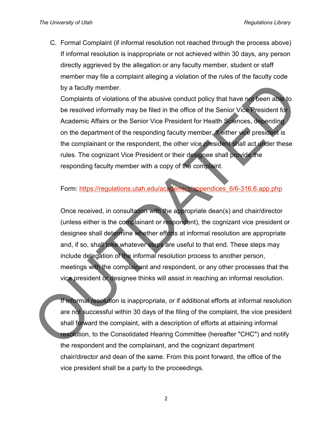C. Formal Complaint (if informal resolution not reached through the process above) If informal resolution is inappropriate or not achieved within 30 days, any person directly aggrieved by the allegation or any faculty member, student or staff member may file a complaint alleging a violation of the rules of the faculty code by a faculty member.

Complaints of violations of the abusive conduct policy that have not been able to be resolved informally may be filed in the office of the Senior Vice President for Academic Affairs or the Senior Vice President for Health Sciences, depending on the department of the responding faculty member. If either vice president is the complainant or the respondent, the other vice president shall act under these rules. The cognizant Vice President or their designee shall provide the responding faculty member with a copy of the complaint. by a faculty member.<br>
Complaints of violations of the abusive conduct policy that have not be resolved informally may be filed in the office of the Senior Vice President for<br>
Academic Affairs or the Senior Vice President f

### Form: https://regulations.utah.edu/academics/appendices\_6/6-316.6.app.php

Once received, in consultation with the appropriate dean(s) and chair/director (unless either is the complainant or respondent), the cognizant vice president or designee shall determine whether efforts at informal resolution are appropriate and, if so, shall take whatever steps are useful to that end. These steps may include delegation of the informal resolution process to another person, meetings with the complainant and respondent, or any other processes that the vice president or designee thinks will assist in reaching an informal resolution.

If informal resolution is inappropriate, or if additional efforts at informal resolution are not successful within 30 days of the filing of the complaint, the vice president shall forward the complaint, with a description of efforts at attaining informal resolution, to the Consolidated Hearing Committee (hereafter "CHC") and notify the respondent and the complainant, and the cognizant department chair/director and dean of the same. From this point forward, the office of the vice president shall be a party to the proceedings.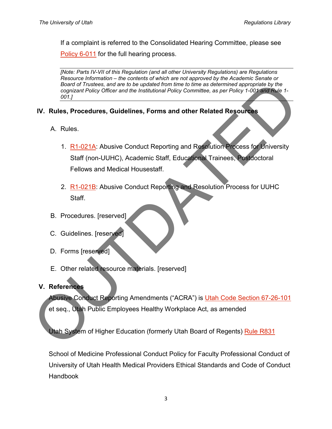If a complaint is referred to the Consolidated Hearing Committee, please see [Policy 6-011](https://regulations.utah.edu/academics/6-011.php) for the full hearing process.

*[Note: Parts IV-VII of this Regulation (and all other University Regulations) are Regulations Resource Information – the contents of which are not approved by the Academic Senate or Board of Trustees, and are to be updated from time to time as determined appropriate by the cognizant Policy Officer and the Institutional Policy Committee, as per Policy 1-001 and Rule 1- 001.]*

## **IV. Rules, Procedures, Guidelines, Forms and other Related Resources**

- A. Rules.
- 1. R1-021A: Abusive Conduct Reporting and Resolution Process for University Staff (non-UUHC), Academic Staff, Educational Trainees, Postdoctoral Fellows and Medical Housestaff. Board of Trustees, and are to be undered from time to time as deferenment appropriate purpose that the contract Poley Committee, as per Poley 1-001 start Rule 1-<br>
Out 1.<br>
N. Rules, Procedures, Guidelines, Forms and other R
	- 2. R1-021B: Abusive Conduct Reporting and Resolution Process for UUHC Staff.
	- B. Procedures. [reserved]
	- C. Guidelines. [reserved]
	- D. Forms [reserved]
	- E. Other related resource materials. [reserved]
	- **V. References**

Abusive Conduct Reporting Amendments ("ACRA") is Utah Code Section 67-26-101 et seq., Utah Public Employees Healthy Workplace Act, as amended

Utah System of Higher Education (formerly Utah Board of Regents) Rule R831

School of Medicine Professional Conduct Policy for Faculty Professional Conduct of University of Utah Health Medical Providers Ethical Standards and Code of Conduct **Handbook**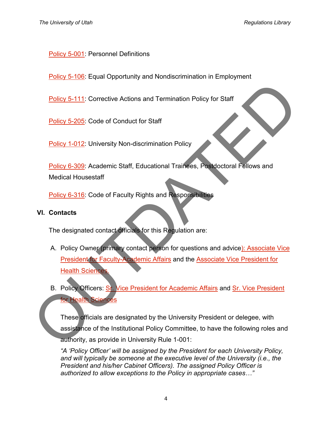### [Policy 5-001:](https://regulations.utah.edu/human-resources/5-001.php) Personnel Definitions

**[Policy 5-106:](https://regulations.utah.edu/human-resources/5-106.php) Equal Opportunity and Nondiscrimination in Employment** 

Policy 5-111: Corrective Actions and Termination Policy for Staff

Policy 5-205: Code of Conduct for Staff

Policy 1-012: University Non-discrimination Policy

Policy 6-309: Academic Staff, Educational Trainees, Postdoctoral Fellows and Medical Housestaff

Policy 6-316: Code of Faculty Rights and Responsibilities

#### **VI. Contacts**

The designated contact officials for this Regulation are:

- A. Policy Owner (primary contact person for questions and advice): Associate Vice President for Faculty-Academic Affairs and the Associate Vice President for Health Sciences. Policy 5-111: Corrective Actions and Termination Policy for Staff<br>
Policy 5-205: Code of Conduct for Staff<br>
Policy 6-309: Academic Staff, Educational Trainees, Postoctoral Fellows and<br>
Medicial Housestaff<br>
Policy 6-316: Co
	- B. Policy Officers: Sr. Vice President for Academic Affairs and Sr. Vice President for Health Sciences

These officials are designated by the University President or delegee, with assistance of the Institutional Policy Committee, to have the following roles and authority, as provide in University Rule 1-001:

*"A 'Policy Officer' will be assigned by the President for each University Policy, and will typically be someone at the executive level of the University (i.e., the President and his/her Cabinet Officers). The assigned Policy Officer is authorized to allow exceptions to the Policy in appropriate cases…"*